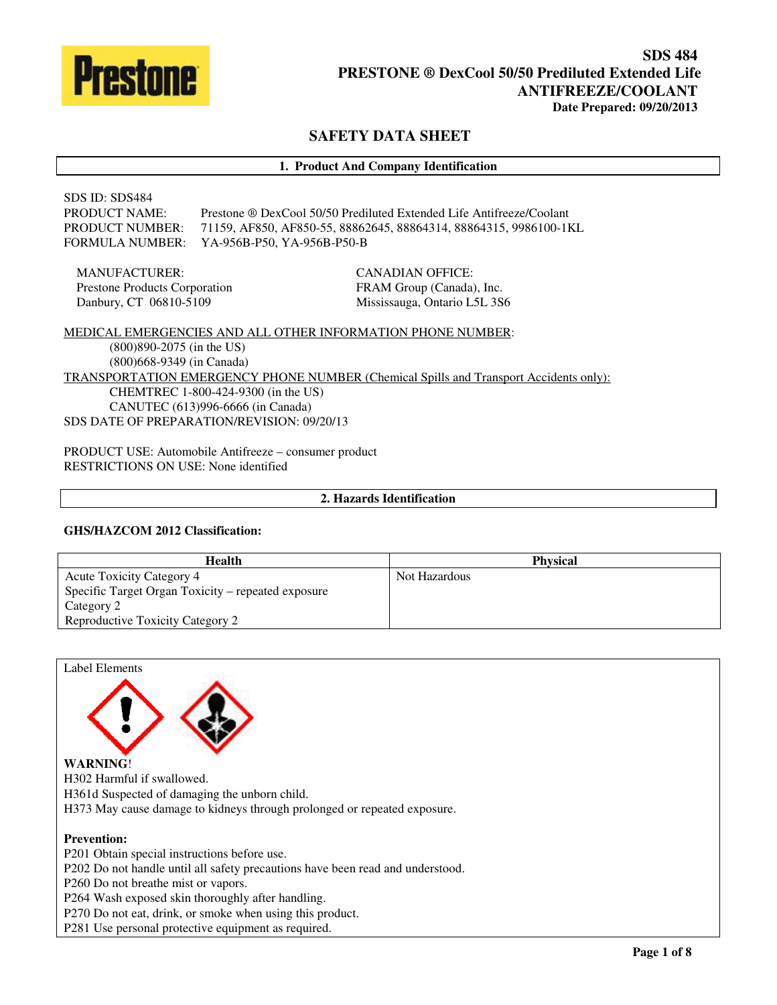

# **SAFETY DATA SHEET**

### **1. Product And Company Identification**

# SDS ID: SDS484 PRODUCT NAME: Prestone ® DexCool 50/50 Prediluted Extended Life Antifreeze/Coolant PRODUCT NUMBER: 71159, AF850, AF850-55, 88862645, 88864314, 88864315, 9986100-1KL FORMULA NUMBER: YA-956B-P50, YA-956B-P50-B

MANUFACTURER: Prestone Products Corporation Danbury, CT 06810-5109

CANADIAN OFFICE: FRAM Group (Canada), Inc. Mississauga, Ontario L5L 3S6

MEDICAL EMERGENCIES AND ALL OTHER INFORMATION PHONE NUMBER: (800)890-2075 (in the US) (800)668-9349 (in Canada) TRANSPORTATION EMERGENCY PHONE NUMBER (Chemical Spills and Transport Accidents only): CHEMTREC 1-800-424-9300 (in the US) CANUTEC (613)996-6666 (in Canada) SDS DATE OF PREPARATION/REVISION: 09/20/13

PRODUCT USE: Automobile Antifreeze – consumer product RESTRICTIONS ON USE: None identified

## **2. Hazards Identification**

#### **GHS/HAZCOM 2012 Classification:**

| <b>Health</b>                                      | <b>Physical</b> |
|----------------------------------------------------|-----------------|
| <b>Acute Toxicity Category 4</b>                   | Not Hazardous   |
| Specific Target Organ Toxicity – repeated exposure |                 |
| Category 2                                         |                 |
| <b>Reproductive Toxicity Category 2</b>            |                 |

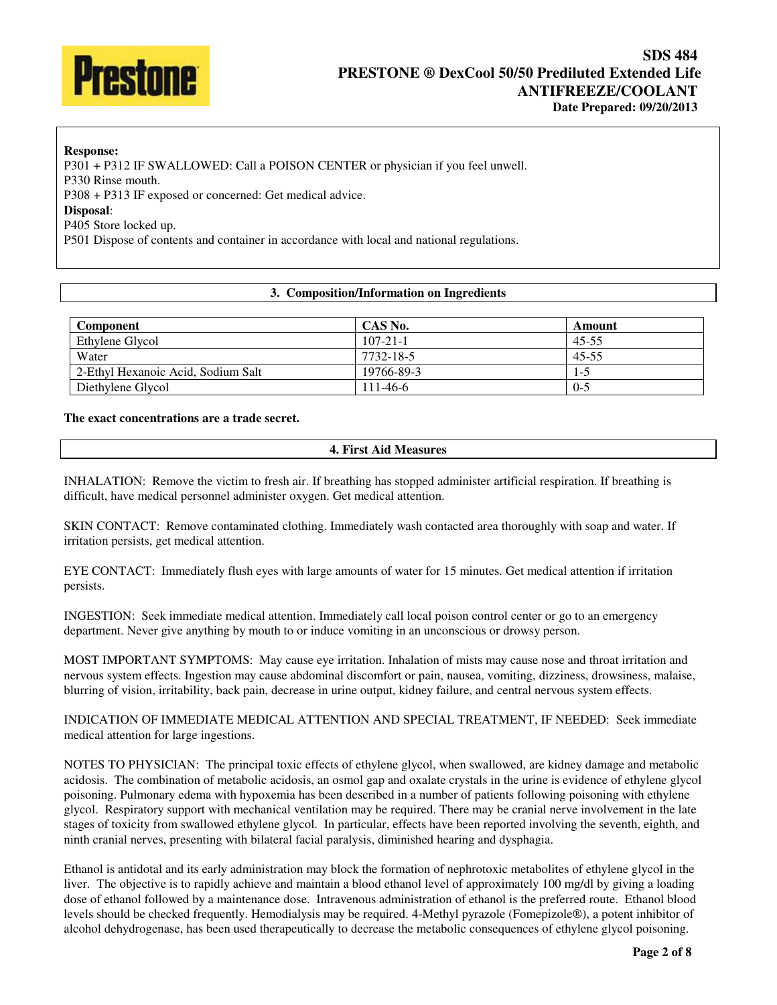

## **Response:**  P301 + P312 IF SWALLOWED: Call a POISON CENTER or physician if you feel unwell. P330 Rinse mouth. P308 + P313 IF exposed or concerned: Get medical advice. **Disposal**: P405 Store locked up. P501 Dispose of contents and container in accordance with local and national regulations.

## **3. Composition/Information on Ingredients**

| <b>Component</b>                   | CAS No.        | Amount    |
|------------------------------------|----------------|-----------|
| Ethylene Glycol                    | $107 - 21 - 1$ | 45-55     |
| Water                              | 7732-18-5      | $45 - 55$ |
| 2-Ethyl Hexanoic Acid, Sodium Salt | 19766-89-3     | $1 - 5$   |
| Diethylene Glycol                  | $111 - 46 - 6$ | $0 - 5$   |

#### **The exact concentrations are a trade secret.**

### **4. First Aid Measures**

INHALATION: Remove the victim to fresh air. If breathing has stopped administer artificial respiration. If breathing is difficult, have medical personnel administer oxygen. Get medical attention.

SKIN CONTACT: Remove contaminated clothing. Immediately wash contacted area thoroughly with soap and water. If irritation persists, get medical attention.

EYE CONTACT: Immediately flush eyes with large amounts of water for 15 minutes. Get medical attention if irritation persists.

INGESTION: Seek immediate medical attention. Immediately call local poison control center or go to an emergency department. Never give anything by mouth to or induce vomiting in an unconscious or drowsy person.

MOST IMPORTANT SYMPTOMS: May cause eye irritation. Inhalation of mists may cause nose and throat irritation and nervous system effects. Ingestion may cause abdominal discomfort or pain, nausea, vomiting, dizziness, drowsiness, malaise, blurring of vision, irritability, back pain, decrease in urine output, kidney failure, and central nervous system effects.

INDICATION OF IMMEDIATE MEDICAL ATTENTION AND SPECIAL TREATMENT, IF NEEDED: Seek immediate medical attention for large ingestions.

NOTES TO PHYSICIAN: The principal toxic effects of ethylene glycol, when swallowed, are kidney damage and metabolic acidosis. The combination of metabolic acidosis, an osmol gap and oxalate crystals in the urine is evidence of ethylene glycol poisoning. Pulmonary edema with hypoxemia has been described in a number of patients following poisoning with ethylene glycol. Respiratory support with mechanical ventilation may be required. There may be cranial nerve involvement in the late stages of toxicity from swallowed ethylene glycol. In particular, effects have been reported involving the seventh, eighth, and ninth cranial nerves, presenting with bilateral facial paralysis, diminished hearing and dysphagia.

Ethanol is antidotal and its early administration may block the formation of nephrotoxic metabolites of ethylene glycol in the liver. The objective is to rapidly achieve and maintain a blood ethanol level of approximately 100 mg/dl by giving a loading dose of ethanol followed by a maintenance dose. Intravenous administration of ethanol is the preferred route. Ethanol blood levels should be checked frequently. Hemodialysis may be required. 4-Methyl pyrazole (Fomepizole®), a potent inhibitor of alcohol dehydrogenase, has been used therapeutically to decrease the metabolic consequences of ethylene glycol poisoning.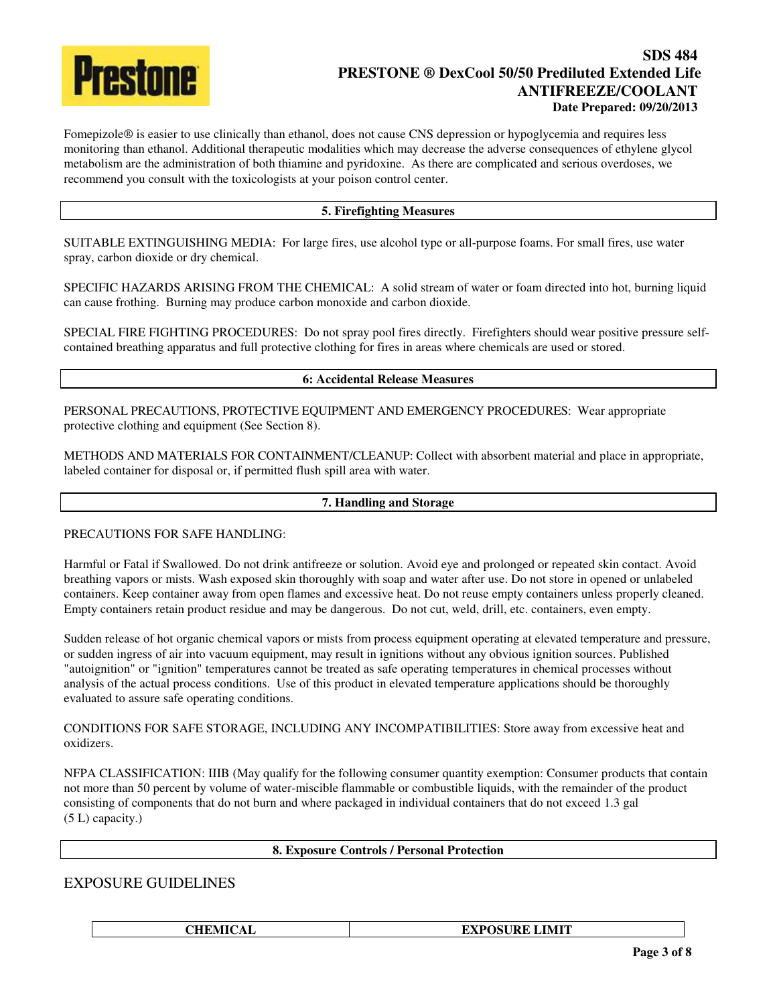

# **SDS 484 PRESTONE ® DexCool 50/50 Prediluted Extended Life ANTIFREEZE/COOLANT Date Prepared: 09/20/2013**

Fomepizole® is easier to use clinically than ethanol, does not cause CNS depression or hypoglycemia and requires less monitoring than ethanol. Additional therapeutic modalities which may decrease the adverse consequences of ethylene glycol metabolism are the administration of both thiamine and pyridoxine. As there are complicated and serious overdoses, we recommend you consult with the toxicologists at your poison control center.

## **5. Firefighting Measures**

SUITABLE EXTINGUISHING MEDIA: For large fires, use alcohol type or all-purpose foams. For small fires, use water spray, carbon dioxide or dry chemical.

SPECIFIC HAZARDS ARISING FROM THE CHEMICAL: A solid stream of water or foam directed into hot, burning liquid can cause frothing. Burning may produce carbon monoxide and carbon dioxide.

SPECIAL FIRE FIGHTING PROCEDURES: Do not spray pool fires directly. Firefighters should wear positive pressure selfcontained breathing apparatus and full protective clothing for fires in areas where chemicals are used or stored.

## **6: Accidental Release Measures**

PERSONAL PRECAUTIONS, PROTECTIVE EQUIPMENT AND EMERGENCY PROCEDURES: Wear appropriate protective clothing and equipment (See Section 8).

METHODS AND MATERIALS FOR CONTAINMENT/CLEANUP: Collect with absorbent material and place in appropriate, labeled container for disposal or, if permitted flush spill area with water.

#### **7. Handling and Storage**

## PRECAUTIONS FOR SAFE HANDLING:

Harmful or Fatal if Swallowed. Do not drink antifreeze or solution. Avoid eye and prolonged or repeated skin contact. Avoid breathing vapors or mists. Wash exposed skin thoroughly with soap and water after use. Do not store in opened or unlabeled containers. Keep container away from open flames and excessive heat. Do not reuse empty containers unless properly cleaned. Empty containers retain product residue and may be dangerous. Do not cut, weld, drill, etc. containers, even empty.

Sudden release of hot organic chemical vapors or mists from process equipment operating at elevated temperature and pressure, or sudden ingress of air into vacuum equipment, may result in ignitions without any obvious ignition sources. Published "autoignition" or "ignition" temperatures cannot be treated as safe operating temperatures in chemical processes without analysis of the actual process conditions. Use of this product in elevated temperature applications should be thoroughly evaluated to assure safe operating conditions.

CONDITIONS FOR SAFE STORAGE, INCLUDING ANY INCOMPATIBILITIES: Store away from excessive heat and oxidizers.

NFPA CLASSIFICATION: IIIB (May qualify for the following consumer quantity exemption: Consumer products that contain not more than 50 percent by volume of water-miscible flammable or combustible liquids, with the remainder of the product consisting of components that do not burn and where packaged in individual containers that do not exceed 1.3 gal (5 L) capacity.)

### **8. Exposure Controls / Personal Protection**

# EXPOSURE GUIDELINES

**CHEMICAL EXPOSURE LIMIT**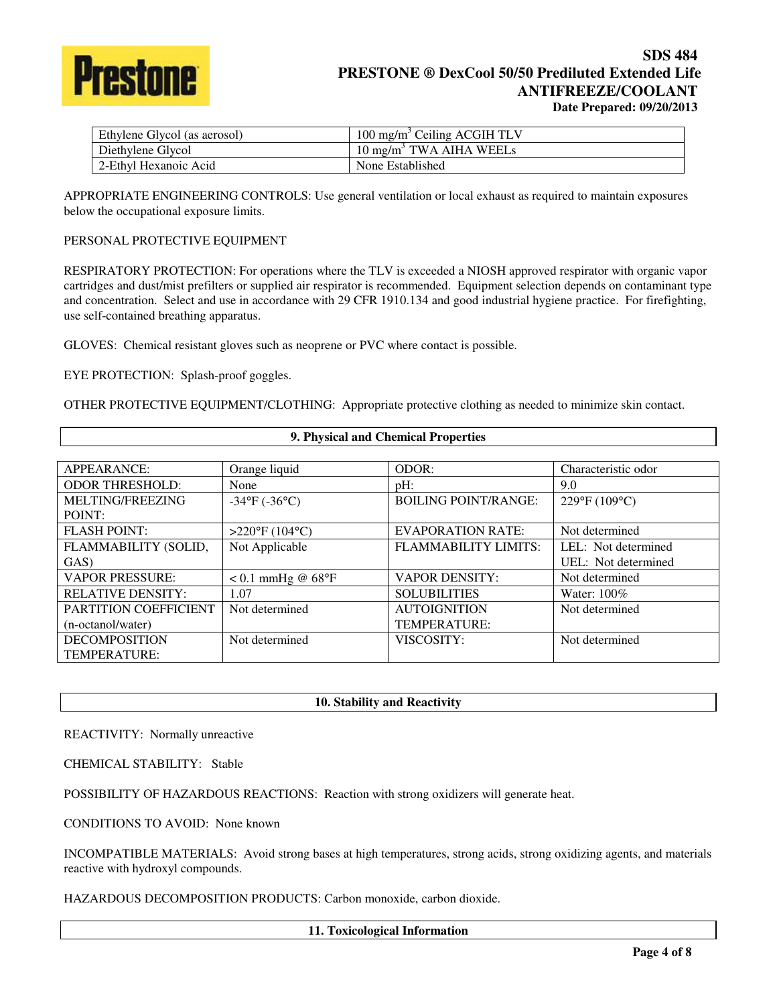

# **SDS 484 PRESTONE ® DexCool 50/50 Prediluted Extended Life ANTIFREEZE/COOLANT Date Prepared: 09/20/2013**

| Ethylene Glycol (as aerosol) | 100 mg/m <sup>3</sup> Ceiling ACGIH TLV |
|------------------------------|-----------------------------------------|
| Diethylene Glycol            | 10 mg/m <sup>3</sup> TWA AIHA WEELs     |
| 2-Ethyl Hexanoic Acid        | None Established                        |

APPROPRIATE ENGINEERING CONTROLS: Use general ventilation or local exhaust as required to maintain exposures below the occupational exposure limits.

## PERSONAL PROTECTIVE EQUIPMENT

RESPIRATORY PROTECTION: For operations where the TLV is exceeded a NIOSH approved respirator with organic vapor cartridges and dust/mist prefilters or supplied air respirator is recommended. Equipment selection depends on contaminant type and concentration. Select and use in accordance with 29 CFR 1910.134 and good industrial hygiene practice. For firefighting, use self-contained breathing apparatus.

GLOVES: Chemical resistant gloves such as neoprene or PVC where contact is possible.

EYE PROTECTION: Splash-proof goggles.

OTHER PROTECTIVE EQUIPMENT/CLOTHING: Appropriate protective clothing as needed to minimize skin contact.

| 9. Physical and Chemical Properties |                               |                             |                     |
|-------------------------------------|-------------------------------|-----------------------------|---------------------|
|                                     |                               |                             |                     |
| APPEARANCE:                         | Orange liquid                 | ODOR:                       | Characteristic odor |
| <b>ODOR THRESHOLD:</b>              | None                          | $pH$ :                      | 9.0                 |
| MELTING/FREEZING                    | $-34^{\circ}F (-36^{\circ}C)$ | <b>BOILING POINT/RANGE:</b> | 229°F (109°C)       |
| POINT:                              |                               |                             |                     |
| <b>FLASH POINT:</b>                 | $>220^{\circ}F(104^{\circ}C)$ | <b>EVAPORATION RATE:</b>    | Not determined      |
| FLAMMABILITY (SOLID,                | Not Applicable                | FLAMMABILITY LIMITS:        | LEL: Not determined |
| GAS)                                |                               |                             | UEL: Not determined |
| <b>VAPOR PRESSURE:</b>              | $< 0.1$ mmHg @ 68°F           | <b>VAPOR DENSITY:</b>       | Not determined      |
| <b>RELATIVE DENSITY:</b>            | 1.07                          | <b>SOLUBILITIES</b>         | Water: $100\%$      |
| PARTITION COEFFICIENT               | Not determined                | <b>AUTOIGNITION</b>         | Not determined      |
| (n-octanol/water)                   |                               | TEMPERATURE:                |                     |
| <b>DECOMPOSITION</b>                | Not determined                | VISCOSITY:                  | Not determined      |
| TEMPERATURE:                        |                               |                             |                     |

## **10. Stability and Reactivity**

REACTIVITY: Normally unreactive

CHEMICAL STABILITY: Stable

POSSIBILITY OF HAZARDOUS REACTIONS: Reaction with strong oxidizers will generate heat.

CONDITIONS TO AVOID: None known

INCOMPATIBLE MATERIALS: Avoid strong bases at high temperatures, strong acids, strong oxidizing agents, and materials reactive with hydroxyl compounds.

HAZARDOUS DECOMPOSITION PRODUCTS: Carbon monoxide, carbon dioxide.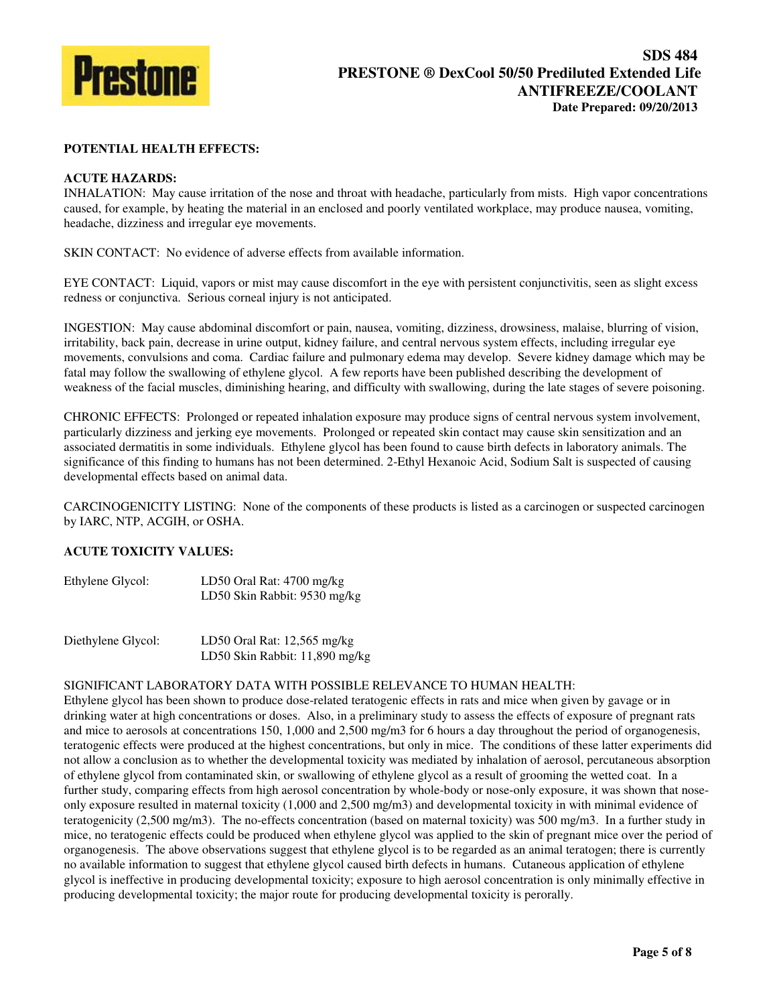

## **POTENTIAL HEALTH EFFECTS:**

## **ACUTE HAZARDS:**

INHALATION: May cause irritation of the nose and throat with headache, particularly from mists. High vapor concentrations caused, for example, by heating the material in an enclosed and poorly ventilated workplace, may produce nausea, vomiting, headache, dizziness and irregular eye movements.

SKIN CONTACT: No evidence of adverse effects from available information.

EYE CONTACT: Liquid, vapors or mist may cause discomfort in the eye with persistent conjunctivitis, seen as slight excess redness or conjunctiva. Serious corneal injury is not anticipated.

INGESTION: May cause abdominal discomfort or pain, nausea, vomiting, dizziness, drowsiness, malaise, blurring of vision, irritability, back pain, decrease in urine output, kidney failure, and central nervous system effects, including irregular eye movements, convulsions and coma. Cardiac failure and pulmonary edema may develop. Severe kidney damage which may be fatal may follow the swallowing of ethylene glycol. A few reports have been published describing the development of weakness of the facial muscles, diminishing hearing, and difficulty with swallowing, during the late stages of severe poisoning.

CHRONIC EFFECTS: Prolonged or repeated inhalation exposure may produce signs of central nervous system involvement, particularly dizziness and jerking eye movements. Prolonged or repeated skin contact may cause skin sensitization and an associated dermatitis in some individuals. Ethylene glycol has been found to cause birth defects in laboratory animals. The significance of this finding to humans has not been determined. 2-Ethyl Hexanoic Acid, Sodium Salt is suspected of causing developmental effects based on animal data.

CARCINOGENICITY LISTING: None of the components of these products is listed as a carcinogen or suspected carcinogen by IARC, NTP, ACGIH, or OSHA.

# **ACUTE TOXICITY VALUES:**

| Ethylene Glycol: | LD50 Oral Rat: 4700 mg/kg    |
|------------------|------------------------------|
|                  | LD50 Skin Rabbit: 9530 mg/kg |

| Diethylene Glycol: | LD50 Oral Rat: $12,565$ mg/kg  |
|--------------------|--------------------------------|
|                    | LD50 Skin Rabbit: 11,890 mg/kg |

### SIGNIFICANT LABORATORY DATA WITH POSSIBLE RELEVANCE TO HUMAN HEALTH:

Ethylene glycol has been shown to produce dose-related teratogenic effects in rats and mice when given by gavage or in drinking water at high concentrations or doses. Also, in a preliminary study to assess the effects of exposure of pregnant rats and mice to aerosols at concentrations 150, 1,000 and 2,500 mg/m3 for 6 hours a day throughout the period of organogenesis, teratogenic effects were produced at the highest concentrations, but only in mice. The conditions of these latter experiments did not allow a conclusion as to whether the developmental toxicity was mediated by inhalation of aerosol, percutaneous absorption of ethylene glycol from contaminated skin, or swallowing of ethylene glycol as a result of grooming the wetted coat. In a further study, comparing effects from high aerosol concentration by whole-body or nose-only exposure, it was shown that noseonly exposure resulted in maternal toxicity (1,000 and 2,500 mg/m3) and developmental toxicity in with minimal evidence of teratogenicity (2,500 mg/m3). The no-effects concentration (based on maternal toxicity) was 500 mg/m3. In a further study in mice, no teratogenic effects could be produced when ethylene glycol was applied to the skin of pregnant mice over the period of organogenesis. The above observations suggest that ethylene glycol is to be regarded as an animal teratogen; there is currently no available information to suggest that ethylene glycol caused birth defects in humans. Cutaneous application of ethylene glycol is ineffective in producing developmental toxicity; exposure to high aerosol concentration is only minimally effective in producing developmental toxicity; the major route for producing developmental toxicity is perorally.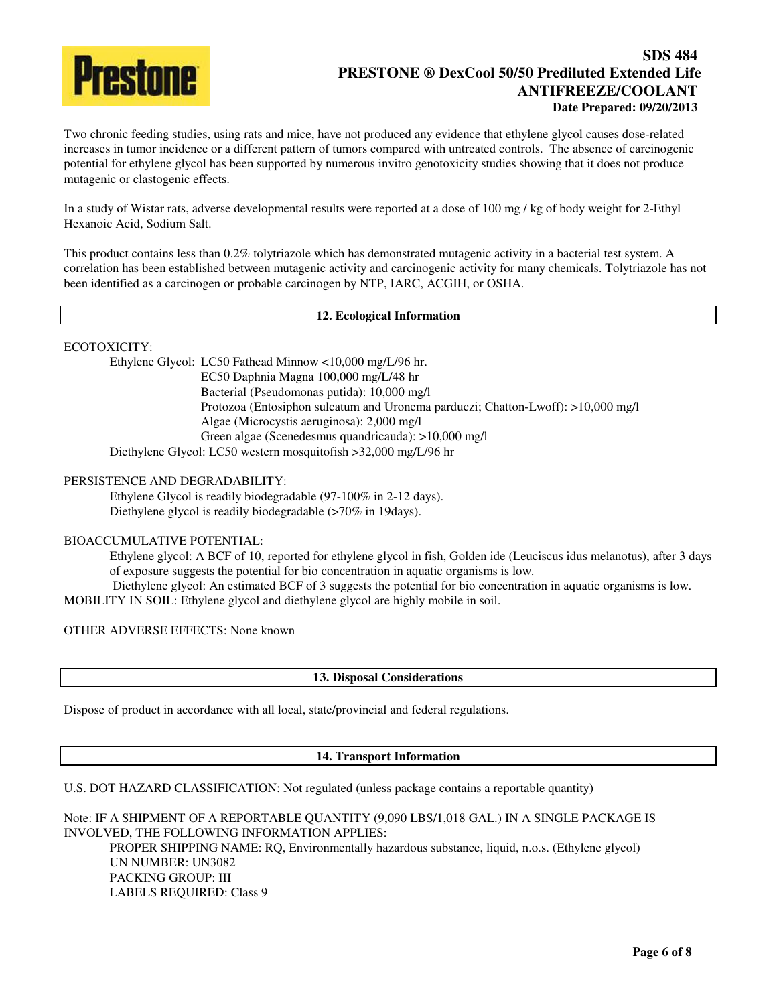

# **SDS 484 PRESTONE ® DexCool 50/50 Prediluted Extended Life ANTIFREEZE/COOLANT Date Prepared: 09/20/2013**

Two chronic feeding studies, using rats and mice, have not produced any evidence that ethylene glycol causes dose-related increases in tumor incidence or a different pattern of tumors compared with untreated controls. The absence of carcinogenic potential for ethylene glycol has been supported by numerous invitro genotoxicity studies showing that it does not produce mutagenic or clastogenic effects.

In a study of Wistar rats, adverse developmental results were reported at a dose of 100 mg / kg of body weight for 2-Ethyl Hexanoic Acid, Sodium Salt.

This product contains less than 0.2% tolytriazole which has demonstrated mutagenic activity in a bacterial test system. A correlation has been established between mutagenic activity and carcinogenic activity for many chemicals. Tolytriazole has not been identified as a carcinogen or probable carcinogen by NTP, IARC, ACGIH, or OSHA.

### **12. Ecological Information**

ECOTOXICITY:

Ethylene Glycol: LC50 Fathead Minnow <10,000 mg/L/96 hr. EC50 Daphnia Magna 100,000 mg/L/48 hr Bacterial (Pseudomonas putida): 10,000 mg/l Protozoa (Entosiphon sulcatum and Uronema parduczi; Chatton-Lwoff): >10,000 mg/l Algae (Microcystis aeruginosa): 2,000 mg/l Green algae (Scenedesmus quandricauda): >10,000 mg/l Diethylene Glycol: LC50 western mosquitofish >32,000 mg/L/96 hr

## PERSISTENCE AND DEGRADABILITY:

 Ethylene Glycol is readily biodegradable (97-100% in 2-12 days). Diethylene glycol is readily biodegradable (>70% in 19days).

# BIOACCUMULATIVE POTENTIAL:

Ethylene glycol: A BCF of 10, reported for ethylene glycol in fish, Golden ide (Leuciscus idus melanotus), after 3 days of exposure suggests the potential for bio concentration in aquatic organisms is low.

Diethylene glycol: An estimated BCF of 3 suggests the potential for bio concentration in aquatic organisms is low. MOBILITY IN SOIL: Ethylene glycol and diethylene glycol are highly mobile in soil.

OTHER ADVERSE EFFECTS: None known

# **13. Disposal Considerations**

Dispose of product in accordance with all local, state/provincial and federal regulations.

## **14. Transport Information**

U.S. DOT HAZARD CLASSIFICATION: Not regulated (unless package contains a reportable quantity)

Note: IF A SHIPMENT OF A REPORTABLE QUANTITY (9,090 LBS/1,018 GAL.) IN A SINGLE PACKAGE IS INVOLVED, THE FOLLOWING INFORMATION APPLIES: PROPER SHIPPING NAME: RQ, Environmentally hazardous substance, liquid, n.o.s. (Ethylene glycol) UN NUMBER: UN3082 PACKING GROUP: III LABELS REQUIRED: Class 9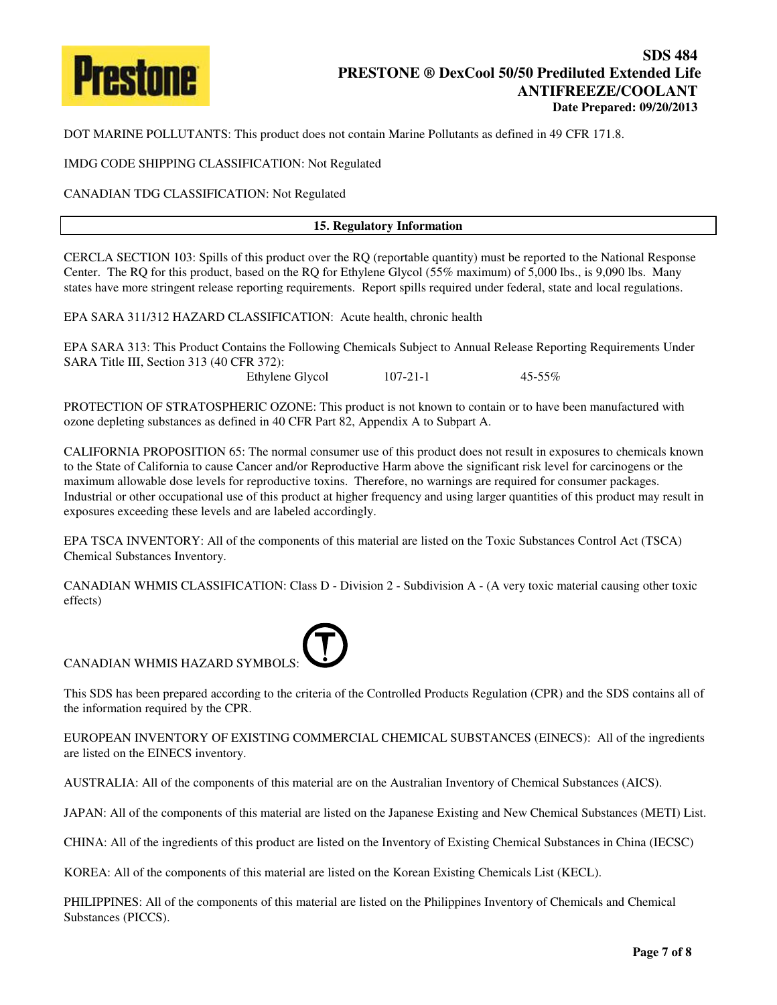

DOT MARINE POLLUTANTS: This product does not contain Marine Pollutants as defined in 49 CFR 171.8.

IMDG CODE SHIPPING CLASSIFICATION: Not Regulated

CANADIAN TDG CLASSIFICATION: Not Regulated

### **15. Regulatory Information**

CERCLA SECTION 103: Spills of this product over the RQ (reportable quantity) must be reported to the National Response Center. The RQ for this product, based on the RQ for Ethylene Glycol (55% maximum) of 5,000 lbs., is 9,090 lbs. Many states have more stringent release reporting requirements. Report spills required under federal, state and local regulations.

EPA SARA 311/312 HAZARD CLASSIFICATION: Acute health, chronic health

EPA SARA 313: This Product Contains the Following Chemicals Subject to Annual Release Reporting Requirements Under SARA Title III, Section 313 (40 CFR 372):

Ethylene Glycol 107-21-1 45-55%

PROTECTION OF STRATOSPHERIC OZONE: This product is not known to contain or to have been manufactured with ozone depleting substances as defined in 40 CFR Part 82, Appendix A to Subpart A.

CALIFORNIA PROPOSITION 65: The normal consumer use of this product does not result in exposures to chemicals known to the State of California to cause Cancer and/or Reproductive Harm above the significant risk level for carcinogens or the maximum allowable dose levels for reproductive toxins. Therefore, no warnings are required for consumer packages. Industrial or other occupational use of this product at higher frequency and using larger quantities of this product may result in exposures exceeding these levels and are labeled accordingly.

EPA TSCA INVENTORY: All of the components of this material are listed on the Toxic Substances Control Act (TSCA) Chemical Substances Inventory.

CANADIAN WHMIS CLASSIFICATION: Class D - Division 2 - Subdivision A - (A very toxic material causing other toxic effects)



This SDS has been prepared according to the criteria of the Controlled Products Regulation (CPR) and the SDS contains all of the information required by the CPR.

EUROPEAN INVENTORY OF EXISTING COMMERCIAL CHEMICAL SUBSTANCES (EINECS): All of the ingredients are listed on the EINECS inventory.

AUSTRALIA: All of the components of this material are on the Australian Inventory of Chemical Substances (AICS).

JAPAN: All of the components of this material are listed on the Japanese Existing and New Chemical Substances (METI) List.

CHINA: All of the ingredients of this product are listed on the Inventory of Existing Chemical Substances in China (IECSC)

KOREA: All of the components of this material are listed on the Korean Existing Chemicals List (KECL).

PHILIPPINES: All of the components of this material are listed on the Philippines Inventory of Chemicals and Chemical Substances (PICCS).